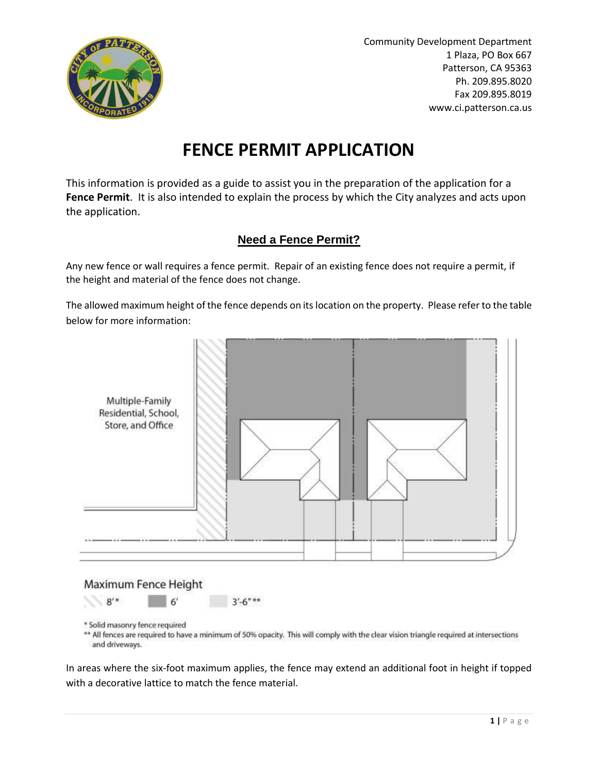

Community Development Department 1 Plaza, PO Box 667 Patterson, CA 95363 Ph. 209.895.8020 Fax 209.895.8019 www.ci.patterson.ca.us

# **FENCE PERMIT APPLICATION**

This information is provided as a guide to assist you in the preparation of the application for a **Fence Permit**. It is also intended to explain the process by which the City analyzes and acts upon the application.

#### **Need a Fence Permit?**

Any new fence or wall requires a fence permit. Repair of an existing fence does not require a permit, if the height and material of the fence does not change.

The allowed maximum height of the fence depends on its location on the property. Please refer to the table below for more information:



## Maximum Fence Height

 $8'$ \*  $3' - 6''$ \*\*

\*\* All fences are required to have a minimum of 50% opacity. This will comply with the clear vision triangle required at intersections and driveways.

In areas where the six-foot maximum applies, the fence may extend an additional foot in height if topped with a decorative lattice to match the fence material.

<sup>\*</sup> Solid masonry fence required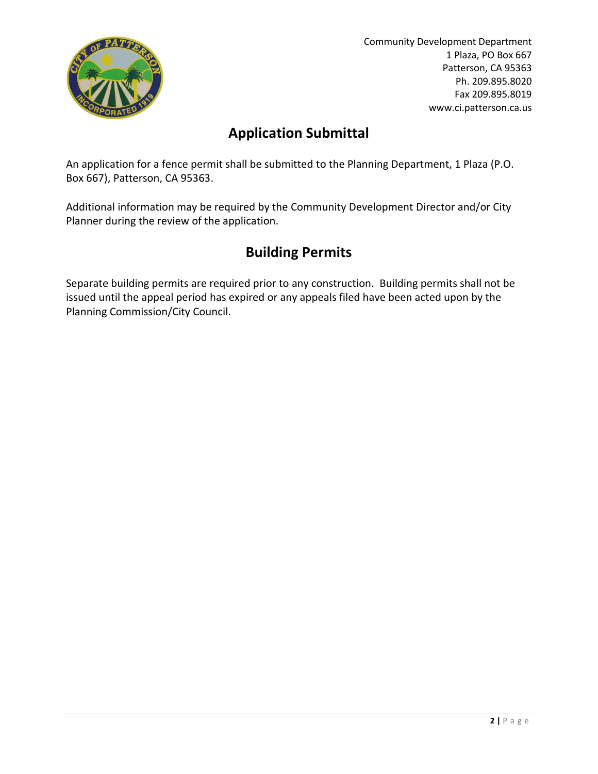

Community Development Department 1 Plaza, PO Box 667 Patterson, CA 95363 Ph. 209.895.8020 Fax 209.895.8019 www.ci.patterson.ca.us

#### **Application Submittal**

An application for a fence permit shall be submitted to the Planning Department, 1 Plaza (P.O. Box 667), Patterson, CA 95363.

Additional information may be required by the Community Development Director and/or City Planner during the review of the application.

### **Building Permits**

Separate building permits are required prior to any construction. Building permits shall not be issued until the appeal period has expired or any appeals filed have been acted upon by the Planning Commission/City Council.